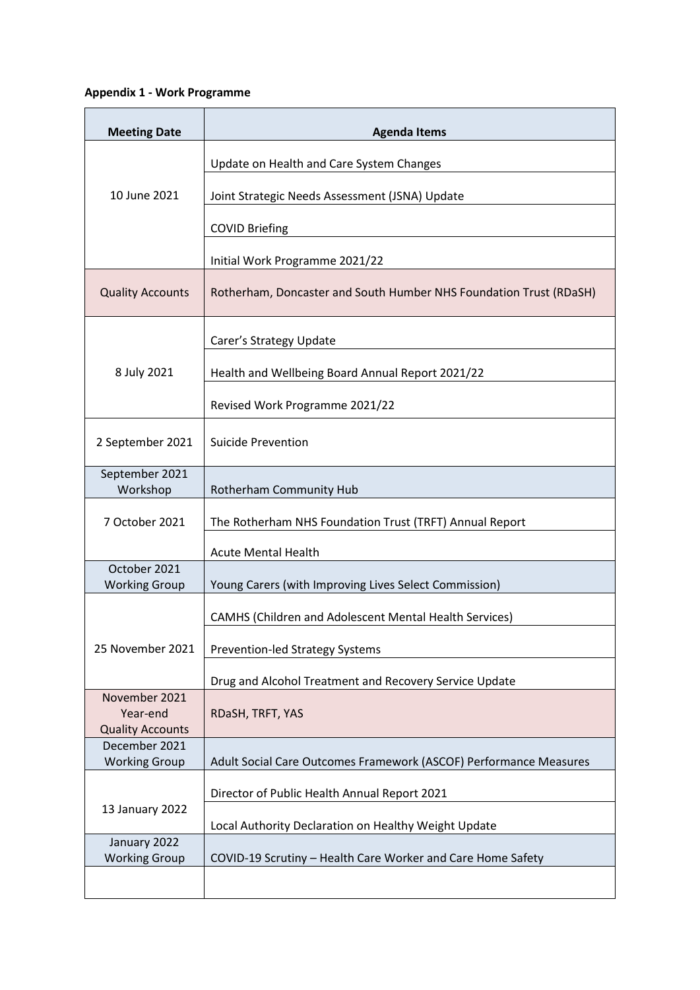## **Appendix 1 - Work Programme**

| <b>Meeting Date</b>                                  | <b>Agenda Items</b>                                                |
|------------------------------------------------------|--------------------------------------------------------------------|
| 10 June 2021                                         | Update on Health and Care System Changes                           |
|                                                      | Joint Strategic Needs Assessment (JSNA) Update                     |
|                                                      | <b>COVID Briefing</b>                                              |
|                                                      | Initial Work Programme 2021/22                                     |
| <b>Quality Accounts</b>                              | Rotherham, Doncaster and South Humber NHS Foundation Trust (RDaSH) |
| 8 July 2021                                          | Carer's Strategy Update                                            |
|                                                      | Health and Wellbeing Board Annual Report 2021/22                   |
|                                                      | Revised Work Programme 2021/22                                     |
| 2 September 2021                                     | Suicide Prevention                                                 |
| September 2021<br>Workshop                           | Rotherham Community Hub                                            |
| 7 October 2021                                       | The Rotherham NHS Foundation Trust (TRFT) Annual Report            |
|                                                      | <b>Acute Mental Health</b>                                         |
| October 2021<br><b>Working Group</b>                 | Young Carers (with Improving Lives Select Commission)              |
| 25 November 2021                                     | <b>CAMHS (Children and Adolescent Mental Health Services)</b>      |
|                                                      | <b>Prevention-led Strategy Systems</b>                             |
|                                                      | Drug and Alcohol Treatment and Recovery Service Update             |
| November 2021<br>Year-end<br><b>Quality Accounts</b> | RDaSH, TRFT, YAS                                                   |
| December 2021<br><b>Working Group</b>                | Adult Social Care Outcomes Framework (ASCOF) Performance Measures  |
| 13 January 2022                                      | Director of Public Health Annual Report 2021                       |
|                                                      | Local Authority Declaration on Healthy Weight Update               |
| January 2022<br><b>Working Group</b>                 | COVID-19 Scrutiny - Health Care Worker and Care Home Safety        |
|                                                      |                                                                    |